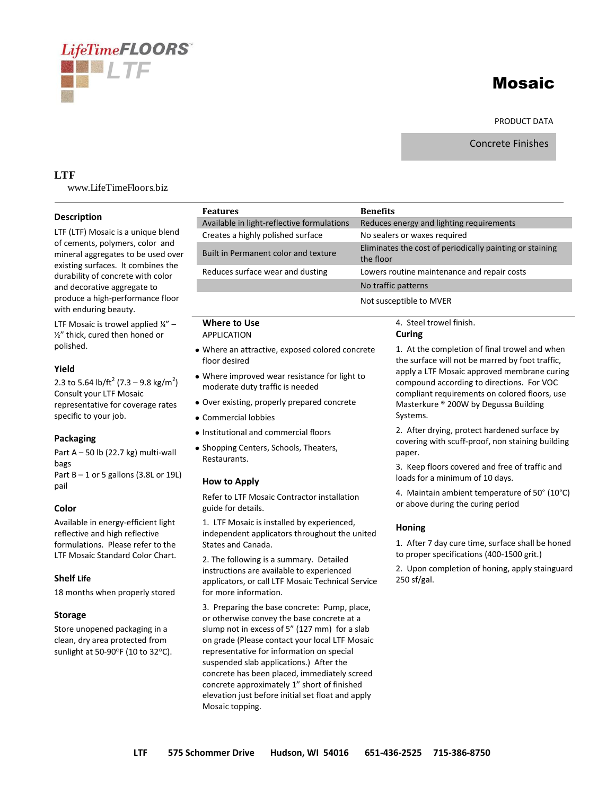# **LifeTimeFLOORS** *LTF*

# Mosaic

PRODUCT DATA

Concrete Finishes

# **LTF**

www.LifeTimeFloors.biz

### **Description**

LTF (LTF) Mosaic is a unique blend of cements, polymers, color and mineral aggregates to be used over existing surfaces. It combines the durability of concrete with color and decorative aggregate to produce a high-performance floor with enduring beauty.

LTF Mosaic is trowel applied  $\frac{1}{4}$ " – ½" thick, cured then honed or polished.

#### **Yield**

2.3 to 5.64 lb/ft<sup>2</sup> (7.3 – 9.8 kg/m<sup>2</sup>) Consult your LTF Mosaic representative for coverage rates specific to your job.

# **Packaging**

Part  $A - 50$  lb (22.7 kg) multi-wall bags Part  $B - 1$  or 5 gallons (3.8L or 19L) pail

# **Color**

Available in energy-efficient light reflective and high reflective formulations. Please refer to the LTF Mosaic Standard Color Chart.

# **Shelf Life**

18 months when properly stored

#### **Storage**

Store unopened packaging in a clean, dry area protected from sunlight at 50-90 $\degree$ F (10 to 32 $\degree$ C).

| <b>Features</b>                                                                                                                                                                                                                                                                         | <b>Benefits</b> |                                                                                                                                                                                    |                                                                                                                                                                                                                                                                                                                                       |
|-----------------------------------------------------------------------------------------------------------------------------------------------------------------------------------------------------------------------------------------------------------------------------------------|-----------------|------------------------------------------------------------------------------------------------------------------------------------------------------------------------------------|---------------------------------------------------------------------------------------------------------------------------------------------------------------------------------------------------------------------------------------------------------------------------------------------------------------------------------------|
| Available in light-reflective formulations                                                                                                                                                                                                                                              |                 | Reduces energy and lighting requirements                                                                                                                                           |                                                                                                                                                                                                                                                                                                                                       |
| Creates a highly polished surface                                                                                                                                                                                                                                                       |                 | No sealers or waxes required                                                                                                                                                       |                                                                                                                                                                                                                                                                                                                                       |
| Built in Permanent color and texture                                                                                                                                                                                                                                                    |                 | Eliminates the cost of periodically painting or staining<br>the floor                                                                                                              |                                                                                                                                                                                                                                                                                                                                       |
| Reduces surface wear and dusting                                                                                                                                                                                                                                                        |                 | Lowers routine maintenance and repair costs                                                                                                                                        |                                                                                                                                                                                                                                                                                                                                       |
|                                                                                                                                                                                                                                                                                         |                 | No traffic patterns                                                                                                                                                                |                                                                                                                                                                                                                                                                                                                                       |
|                                                                                                                                                                                                                                                                                         |                 | Not susceptible to MVER                                                                                                                                                            |                                                                                                                                                                                                                                                                                                                                       |
| <b>Where to Use</b><br><b>APPLICATION</b>                                                                                                                                                                                                                                               |                 | 4. Steel trowel finish.<br>Curing                                                                                                                                                  |                                                                                                                                                                                                                                                                                                                                       |
| • Where an attractive, exposed colored concrete<br>floor desired                                                                                                                                                                                                                        |                 | 1. At the completion of final trowel and when<br>the surface will not be marred by foot traffic,                                                                                   |                                                                                                                                                                                                                                                                                                                                       |
| . Where improved wear resistance for light to<br>moderate duty traffic is needed<br>• Over existing, properly prepared concrete                                                                                                                                                         |                 | apply a LTF Mosaic approved membrane curing<br>compound according to directions. For VOC<br>compliant requirements on colored floors, use<br>Masterkure ® 200W by Degussa Building |                                                                                                                                                                                                                                                                                                                                       |
|                                                                                                                                                                                                                                                                                         |                 |                                                                                                                                                                                    | • Commercial lobbies                                                                                                                                                                                                                                                                                                                  |
| • Institutional and commercial floors                                                                                                                                                                                                                                                   |                 | 2. After drying, protect hardened surface by                                                                                                                                       |                                                                                                                                                                                                                                                                                                                                       |
| • Shopping Centers, Schools, Theaters,<br>Restaurants.                                                                                                                                                                                                                                  |                 | covering with scuff-proof, non staining building<br>paper.                                                                                                                         |                                                                                                                                                                                                                                                                                                                                       |
| How to Apply<br>Refer to LTF Mosaic Contractor installation<br>guide for details.                                                                                                                                                                                                       |                 | 3. Keep floors covered and free of traffic and<br>loads for a minimum of 10 days.                                                                                                  |                                                                                                                                                                                                                                                                                                                                       |
|                                                                                                                                                                                                                                                                                         |                 | 4. Maintain ambient temperature of $50^{\circ}$ (10 $^{\circ}$ C)<br>or above during the curing period                                                                             |                                                                                                                                                                                                                                                                                                                                       |
| 1. LTF Mosaic is installed by experienced,<br>independent applicators throughout the united<br>States and Canada.<br>2. The following is a summary. Detailed<br>instructions are available to experienced<br>applicators, or call LTF Mosaic Technical Service<br>for more information. |                 | Honing                                                                                                                                                                             |                                                                                                                                                                                                                                                                                                                                       |
|                                                                                                                                                                                                                                                                                         |                 | 1. After 7 day cure time, surface shall be honed<br>to proper specifications (400-1500 grit.)<br>2. Upon completion of honing, apply stainguard<br>250 sf/gal.                     |                                                                                                                                                                                                                                                                                                                                       |
|                                                                                                                                                                                                                                                                                         |                 |                                                                                                                                                                                    | 3. Preparing the base concrete: Pump, place,<br>or otherwise convey the base concrete at a<br>slump not in excess of 5" (127 mm) for a slab<br>on grade (Please contact your local LTF Mosaic<br>representative for information on special<br>suspended slab applications.) After the<br>concrete has been placed, immediately screed |

concrete approximately 1" short of finished elevation just before initial set float and apply

Mosaic topping.